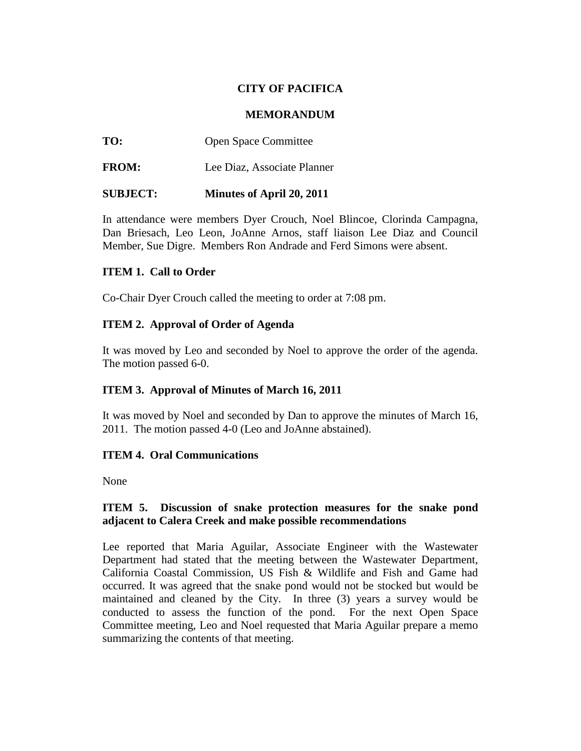# **CITY OF PACIFICA**

#### **MEMORANDUM**

**TO:** Open Space Committee

**FROM:** Lee Diaz, Associate Planner

### **SUBJECT: Minutes of April 20, 2011**

In attendance were members Dyer Crouch, Noel Blincoe, Clorinda Campagna, Dan Briesach, Leo Leon, JoAnne Arnos, staff liaison Lee Diaz and Council Member, Sue Digre. Members Ron Andrade and Ferd Simons were absent.

### **ITEM 1. Call to Order**

Co-Chair Dyer Crouch called the meeting to order at 7:08 pm.

### **ITEM 2. Approval of Order of Agenda**

It was moved by Leo and seconded by Noel to approve the order of the agenda. The motion passed 6-0.

### **ITEM 3. Approval of Minutes of March 16, 2011**

It was moved by Noel and seconded by Dan to approve the minutes of March 16, 2011. The motion passed 4-0 (Leo and JoAnne abstained).

### **ITEM 4. Oral Communications**

None

### **ITEM 5. Discussion of snake protection measures for the snake pond adjacent to Calera Creek and make possible recommendations**

Lee reported that Maria Aguilar, Associate Engineer with the Wastewater Department had stated that the meeting between the Wastewater Department, California Coastal Commission, US Fish & Wildlife and Fish and Game had occurred. It was agreed that the snake pond would not be stocked but would be maintained and cleaned by the City. In three (3) years a survey would be conducted to assess the function of the pond. For the next Open Space Committee meeting, Leo and Noel requested that Maria Aguilar prepare a memo summarizing the contents of that meeting.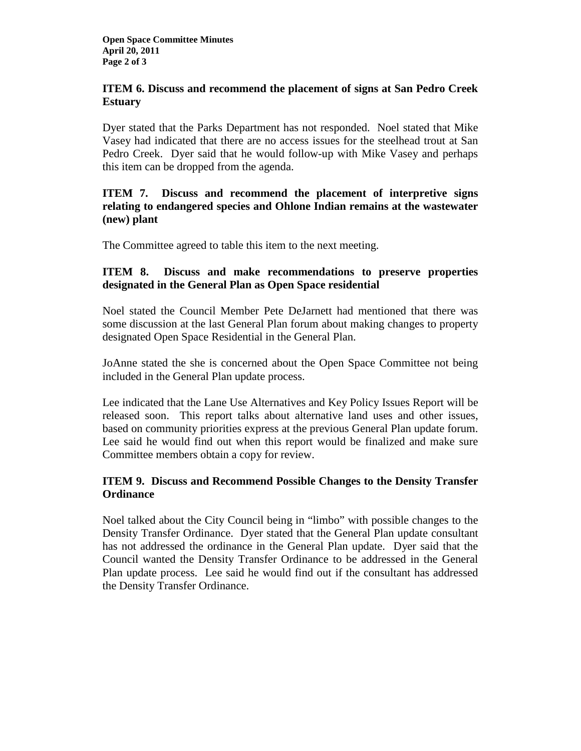# **ITEM 6. Discuss and recommend the placement of signs at San Pedro Creek Estuary**

Dyer stated that the Parks Department has not responded. Noel stated that Mike Vasey had indicated that there are no access issues for the steelhead trout at San Pedro Creek. Dyer said that he would follow-up with Mike Vasey and perhaps this item can be dropped from the agenda.

# **ITEM 7. Discuss and recommend the placement of interpretive signs relating to endangered species and Ohlone Indian remains at the wastewater (new) plant**

The Committee agreed to table this item to the next meeting.

# **ITEM 8. Discuss and make recommendations to preserve properties designated in the General Plan as Open Space residential**

Noel stated the Council Member Pete DeJarnett had mentioned that there was some discussion at the last General Plan forum about making changes to property designated Open Space Residential in the General Plan.

JoAnne stated the she is concerned about the Open Space Committee not being included in the General Plan update process.

Lee indicated that the Lane Use Alternatives and Key Policy Issues Report will be released soon. This report talks about alternative land uses and other issues, based on community priorities express at the previous General Plan update forum. Lee said he would find out when this report would be finalized and make sure Committee members obtain a copy for review.

# **ITEM 9. Discuss and Recommend Possible Changes to the Density Transfer Ordinance**

Noel talked about the City Council being in "limbo" with possible changes to the Density Transfer Ordinance. Dyer stated that the General Plan update consultant has not addressed the ordinance in the General Plan update. Dyer said that the Council wanted the Density Transfer Ordinance to be addressed in the General Plan update process. Lee said he would find out if the consultant has addressed the Density Transfer Ordinance.